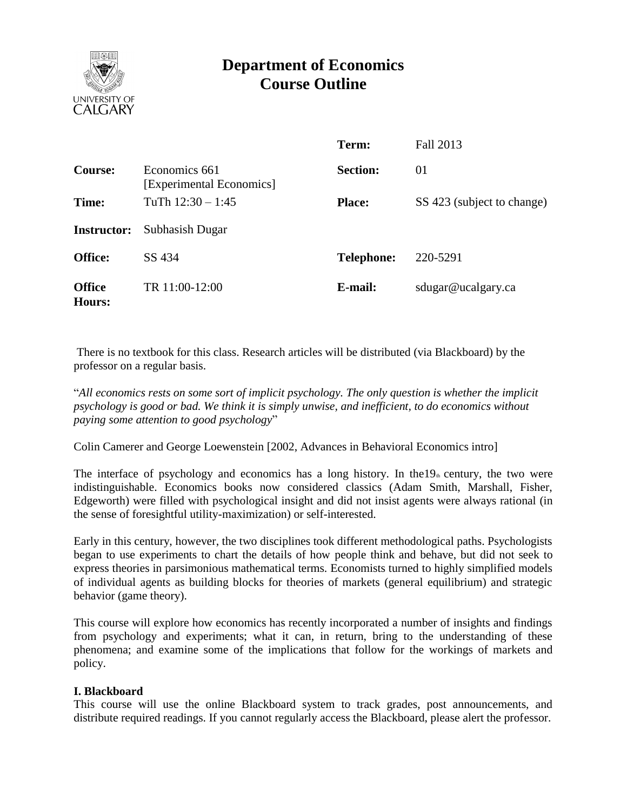

# **Department of Economics Course Outline**

|                                |                                           | Term:             | Fall 2013                  |
|--------------------------------|-------------------------------------------|-------------------|----------------------------|
| <b>Course:</b>                 | Economics 661<br>[Experimental Economics] | <b>Section:</b>   | 01                         |
| Time:                          | TuTh $12:30 - 1:45$                       | <b>Place:</b>     | SS 423 (subject to change) |
| <b>Instructor:</b>             | Subhasish Dugar                           |                   |                            |
| <b>Office:</b>                 | SS 434                                    | <b>Telephone:</b> | 220-5291                   |
| <b>Office</b><br><b>Hours:</b> | TR 11:00-12:00                            | E-mail:           | sdugar@ucalgary.ca         |

There is no textbook for this class. Research articles will be distributed (via Blackboard) by the professor on a regular basis.

"*All economics rests on some sort of implicit psychology. The only question is whether the implicit psychology is good or bad. We think it is simply unwise, and inefficient, to do economics without paying some attention to good psychology*"

Colin Camerer and George Loewenstein [2002, Advances in Behavioral Economics intro]

The interface of psychology and economics has a long history. In the  $19<sub>th</sub>$  century, the two were indistinguishable. Economics books now considered classics (Adam Smith, Marshall, Fisher, Edgeworth) were filled with psychological insight and did not insist agents were always rational (in the sense of foresightful utility-maximization) or self-interested.

Early in this century, however, the two disciplines took different methodological paths. Psychologists began to use experiments to chart the details of how people think and behave, but did not seek to express theories in parsimonious mathematical terms. Economists turned to highly simplified models of individual agents as building blocks for theories of markets (general equilibrium) and strategic behavior (game theory).

This course will explore how economics has recently incorporated a number of insights and findings from psychology and experiments; what it can, in return, bring to the understanding of these phenomena; and examine some of the implications that follow for the workings of markets and policy.

#### **I. Blackboard**

This course will use the online Blackboard system to track grades, post announcements, and distribute required readings. If you cannot regularly access the Blackboard, please alert the professor.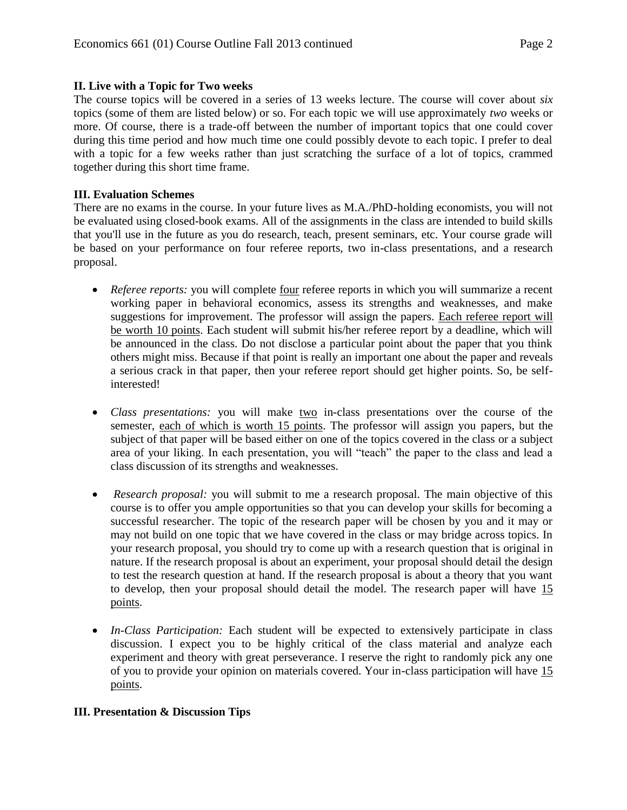## **II. Live with a Topic for Two weeks**

The course topics will be covered in a series of 13 weeks lecture. The course will cover about *six*  topics (some of them are listed below) or so. For each topic we will use approximately *two* weeks or more. Of course, there is a trade-off between the number of important topics that one could cover during this time period and how much time one could possibly devote to each topic. I prefer to deal with a topic for a few weeks rather than just scratching the surface of a lot of topics, crammed together during this short time frame.

## **III. Evaluation Schemes**

There are no exams in the course. In your future lives as M.A./PhD-holding economists, you will not be evaluated using closed-book exams. All of the assignments in the class are intended to build skills that you'll use in the future as you do research, teach, present seminars, etc. Your course grade will be based on your performance on four referee reports, two in-class presentations, and a research proposal.

- *Referee reports:* you will complete four referee reports in which you will summarize a recent working paper in behavioral economics, assess its strengths and weaknesses, and make suggestions for improvement. The professor will assign the papers. Each referee report will be worth 10 points. Each student will submit his/her referee report by a deadline, which will be announced in the class. Do not disclose a particular point about the paper that you think others might miss. Because if that point is really an important one about the paper and reveals a serious crack in that paper, then your referee report should get higher points. So, be selfinterested!
- *Class presentations:* you will make two in-class presentations over the course of the semester, each of which is worth 15 points. The professor will assign you papers, but the subject of that paper will be based either on one of the topics covered in the class or a subject area of your liking. In each presentation, you will "teach" the paper to the class and lead a class discussion of its strengths and weaknesses.
- *Research proposal:* you will submit to me a research proposal. The main objective of this course is to offer you ample opportunities so that you can develop your skills for becoming a successful researcher. The topic of the research paper will be chosen by you and it may or may not build on one topic that we have covered in the class or may bridge across topics. In your research proposal, you should try to come up with a research question that is original in nature. If the research proposal is about an experiment, your proposal should detail the design to test the research question at hand. If the research proposal is about a theory that you want to develop, then your proposal should detail the model. The research paper will have 15 points.
- *In-Class Participation:* Each student will be expected to extensively participate in class discussion. I expect you to be highly critical of the class material and analyze each experiment and theory with great perseverance. I reserve the right to randomly pick any one of you to provide your opinion on materials covered. Your in-class participation will have 15 points.

# **III. Presentation & Discussion Tips**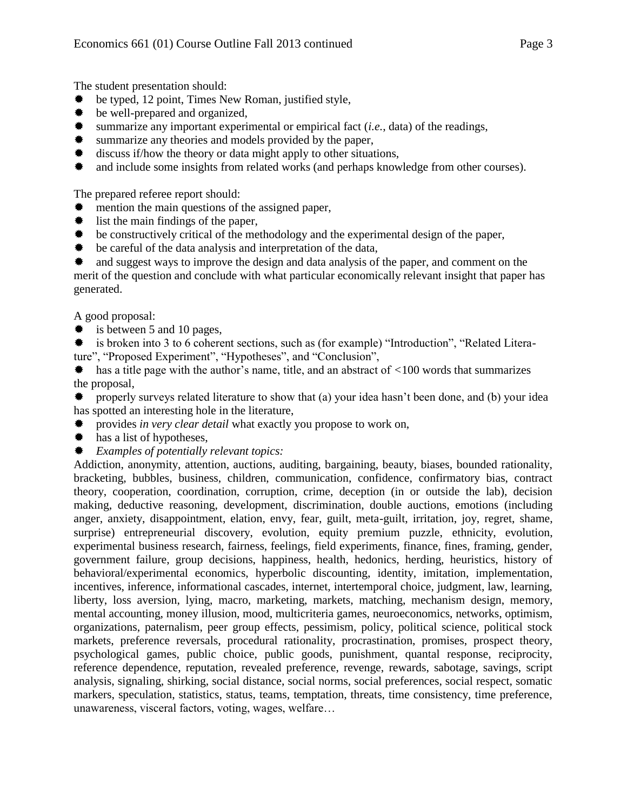The student presentation should:

- be typed, 12 point, Times New Roman, justified style,
- $★$  be well-prepared and organized,
- $\bullet$  summarize any important experimental or empirical fact (*i.e.*, data) of the readings,
- **\*** summarize any theories and models provided by the paper,
- $\text{\#}$  discuss if/how the theory or data might apply to other situations,
- and include some insights from related works (and perhaps knowledge from other courses).

The prepared referee report should:

- mention the main questions of the assigned paper,
- $\textcolor{blue}{\clubsuit}$  list the main findings of the paper,
- $\bullet$  be constructively critical of the methodology and the experimental design of the paper,
- be careful of the data analysis and interpretation of the data,
- and suggest ways to improve the design and data analysis of the paper, and comment on the

merit of the question and conclude with what particular economically relevant insight that paper has generated.

A good proposal:

 $\textbf{\text#}$  is between 5 and 10 pages,

is broken into 3 to 6 coherent sections, such as (for example) "Introduction", "Related Literature", "Proposed Experiment", "Hypotheses", and "Conclusion",

has a title page with the author's name, title, and an abstract of *<*100 words that summarizes the proposal,

properly surveys related literature to show that (a) your idea hasn't been done, and (b) your idea has spotted an interesting hole in the literature,

- provides *in very clear detail* what exactly you propose to work on,
- $#$  has a list of hypotheses,
- *Examples of potentially relevant topics:*

Addiction, anonymity, attention, auctions, auditing, bargaining, beauty, biases, bounded rationality, bracketing, bubbles, business, children, communication, confidence, confirmatory bias, contract theory, cooperation, coordination, corruption, crime, deception (in or outside the lab), decision making, deductive reasoning, development, discrimination, double auctions, emotions (including anger, anxiety, disappointment, elation, envy, fear, guilt, meta-guilt, irritation, joy, regret, shame, surprise) entrepreneurial discovery, evolution, equity premium puzzle, ethnicity, evolution, experimental business research, fairness, feelings, field experiments, finance, fines, framing, gender, government failure, group decisions, happiness, health, hedonics, herding, heuristics, history of behavioral/experimental economics, hyperbolic discounting, identity, imitation, implementation, incentives, inference, informational cascades, internet, intertemporal choice, judgment, law, learning, liberty, loss aversion, lying, macro, marketing, markets, matching, mechanism design, memory, mental accounting, money illusion, mood, multicriteria games, neuroeconomics, networks, optimism, organizations, paternalism, peer group effects, pessimism, policy, political science, political stock markets, preference reversals, procedural rationality, procrastination, promises, prospect theory, psychological games, public choice, public goods, punishment, quantal response, reciprocity, reference dependence, reputation, revealed preference, revenge, rewards, sabotage, savings, script analysis, signaling, shirking, social distance, social norms, social preferences, social respect, somatic markers, speculation, statistics, status, teams, temptation, threats, time consistency, time preference, unawareness, visceral factors, voting, wages, welfare…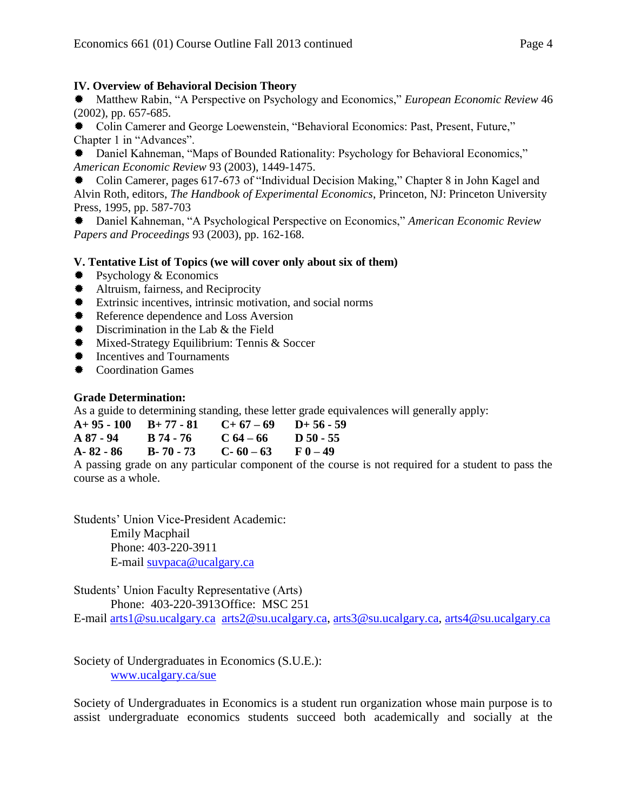## **IV. Overview of Behavioral Decision Theory**

Matthew Rabin, "A Perspective on Psychology and Economics," *European Economic Review* 46 (2002), pp. 657-685.

Colin Camerer and George Loewenstein, "Behavioral Economics: Past, Present, Future," Chapter 1 in "Advances".

Daniel Kahneman, "Maps of Bounded Rationality: Psychology for Behavioral Economics," *American Economic Review* 93 (2003), 1449-1475.

Colin Camerer, pages 617-673 of "Individual Decision Making," Chapter 8 in John Kagel and Alvin Roth, editors, *The Handbook of Experimental Economics*, Princeton, NJ: Princeton University Press, 1995, pp. 587-703

Daniel Kahneman, "A Psychological Perspective on Economics," *American Economic Review Papers and Proceedings* 93 (2003), pp. 162-168.

## **V. Tentative List of Topics (we will cover only about six of them)**

- $\text{\textsterling}$  Psychology & Economics
- $\text{\textsterling}$  Altruism, fairness, and Reciprocity
- $★$  Extrinsic incentives, intrinsic motivation, and social norms
- $*$  Reference dependence and Loss Aversion
- $\textcolor{blue}{\clubsuit}$  Discrimination in the Lab & the Field
- **\*** Mixed-Strategy Equilibrium: Tennis & Soccer
- $★$  Incentives and Tournaments
- $★$  Coordination Games

## **Grade Determination:**

As a guide to determining standing, these letter grade equivalences will generally apply:

|               | $A+95-100$ $B+77-81$ | $C+67-69$ D+56-59 |           |
|---------------|----------------------|-------------------|-----------|
| A 87 - 94     | B 74 - 76            | $C_{64-66}$       | D 50 - 55 |
| $A - 82 - 86$ | $B - 70 - 73$        | $C - 60 - 63$     | $F(0-49)$ |

A passing grade on any particular component of the course is not required for a student to pass the course as a whole.

Students' Union Vice-President Academic: Emily Macphail Phone: 403-220-3911 E-mail [suvpaca@ucalgary.ca](mailto:subpaca@ucalgary.ca)

Students' Union Faculty Representative (Arts)

Phone: 403-220-3913Office: MSC 251

E-mail [arts1@su.ucalgary.ca](mailto:arts1@su.ucalgary.ca) [arts2@su.ucalgary.ca,](mailto:arts2@su.ucalgary.ca) [arts3@su.ucalgary.ca,](mailto:arts3@su.ucalgary.ca) [arts4@su.ucalgary.ca](mailto:arts4@su.ucalgary.ca)

Society of Undergraduates in Economics (S.U.E.): [www.ucalgary.ca/sue](http://www.fp.ucalgary.ca/econ)

Society of Undergraduates in Economics is a student run organization whose main purpose is to assist undergraduate economics students succeed both academically and socially at the